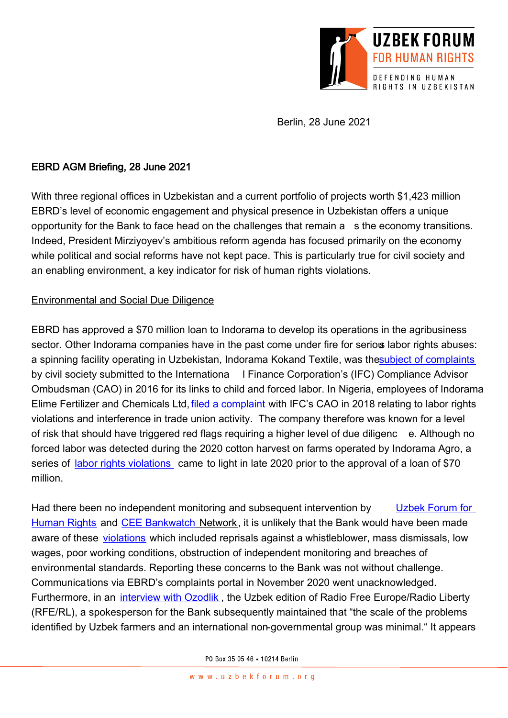

Berlin, 28 June 2021

# EBRD AGM Briefing, 28 June 2021

With three regional offices in Uzbekistan and a current portfolio of projects worth \$1,423 million EBRD's level of economic engagement and physical presence in Uzbekistan offers a unique opportunity for the Bank to face head on the challenges that remain a s the economy transitions. Indeed, President Mirziyoyev's ambitious reform agenda has focused primarily on the economy while political and social reforms have not kept pace. This is particularly true for civil society and an enabling environment, a key indicator for risk of human rights violations.

### Environmental and Social Due Diligence

EBRD has approved a \$70 million loan to Indorama to develop its operations in the agribusiness sector. Other Indorama companies have in the past come under fire for serious labor rights abuses: a spinning facility operating in Uzbekistan, Indorama Kokand Textile, was th[e subject of complaints](http://www.cao-ombudsman.org/cases/UzbekistanIndoramaHamkorbank.htm) by civil society submitted to the Internationa I Finance Corporation's (IFC) Compliance Advisor Ombudsman (CAO) in 2016 for its links to child and forced labor. In Nigeria, employees of Indorama Elime Fertilizer and Chemicals Ltd[, filed a complaint](http://www.cao-ombudsman.org/cases/case_detail.aspx?id=1273) with IFC's CAO in 2018 relating to labor rights violations and interference in trade union activity. The company therefore was known for a level of risk that should have triggered red flags requiring a higher level of due diligenc e. Although no forced labor was detected during the 2020 cotton harvest on farms operated by Indorama Agro, a series of [labor rights violations](https://bankwatch.org/blog/pulling-the-cotton-over-uzbek-eyes-at-latest-ebrd-investment) came to light in late 2020 prior to the approval of a loan of \$70 million.

Had there been no independent monitoring and subsequent intervention by Uzbek Forum for [Human Rights](https://www.uzbekforum.org/) and [CEE Bankwatch](https://bankwatch.org/) Network, it is unlikely that the Bank would have been made aware of these [violations](https://bankwatch.org/blog/pulling-the-cotton-over-uzbek-eyes-at-latest-ebrd-investment) which included reprisals against a whistleblower, mass dismissals, low wages, poor working conditions, obstruction of independent monitoring and breaches of environmental standards. Reporting these concerns to the Bank was not without challenge. Communications via EBRD's complaints portal in November 2020 went unacknowledged. Furthermore, in an [interview with Ozodlik](https://www.ozodlik.org/a/surishtiruv-yeri-tortib-olingan-fermer-va-quldek-ishlatilayotgan-o-zbeklar-indorama-agro-namunaviy-investor-mi-/31034994.html), the Uzbek edition of Radio Free Europe/Radio Liberty (RFE/RL), a spokesperson for the Bank subsequently maintained that "the scale of the problems identified by Uzbek farmers and an international non-governmental group was minimal." It appears

PO Box 35 05 46 . 10214 Berlin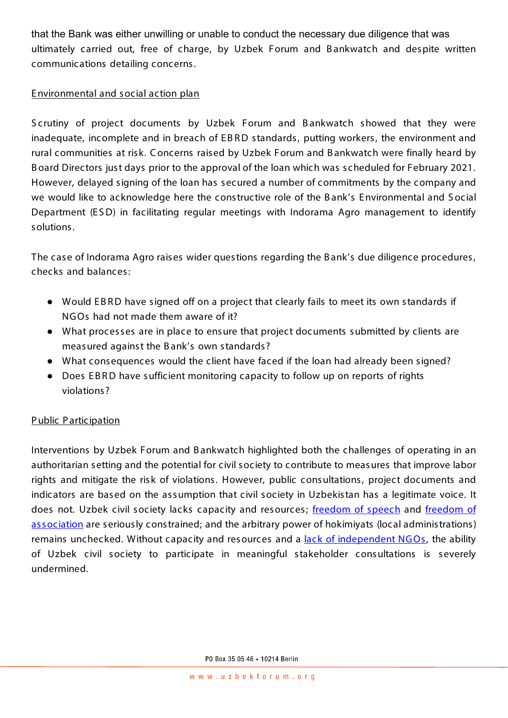that the Bank was either unwilling or unable to conduct the necessary due diligence that was ultimately carried out, free of charge, by Uzbek Forum and B ankwatch and despite written communications detailing concerns.

# E nvironmental and social action plan

S crutiny of project documents by Uzbek Forum and B ankwatch showed that they were inadequate, incomplete and in breach of EBRD standards, putting workers, the environment and rural communities at risk. C oncerns raised by Uzbek Forum and B ankwatch were finally heard by B oard Directors just days prior to the approval of the loan which was scheduled for February 2021. However, delayed signing of the loan has secured a number of commitments by the company and we would like to acknowledge here the constructive role of the B ank's E nvironmental and S ocial Department (ESD) in facilitating regular meetings with Indorama Agro management to identify solutions.

The case of Indorama Agro raises wider questions regarding the B ank's due diligence procedures, checks and balances :

- Would E B R D have signed off on a project that clearly fails to meet its own standards if NG Os had not made them aware of it?
- What processes are in place to ensure that project documents submitted by clients are measured against the B ank's own standards?
- What cons equences would the client have faced if the loan had already been signed?
- Does EBRD have sufficient monitoring capacity to follow up on reports of rights violations ?

# P ublic P articipation

Interventions by Uzbek Forum and B ankwatch highlighted both the challenges of operating in an authoritarian setting and the potential for civil society to contribute to measures that improve labor rights and mitigate the risk of violations. However, public consultations, project documents and indicators are based on the assumption that civil society in Uzbekistan has a legitimate voice. It does not. Uzbek civil society lacks capacity and resources; [freedom of speech](https://globalvoices.org/2021/06/08/pressure-on-journalists-bloggers-mounts-ahead-of-uzbekistans-presidential-elections/) and freedom of [association](https://www.rferl.org/a/uzbekistan-trade-union-agricultural-workers/31172316.html) are seriously constrained; and the arbitrary power of hokimiyats (local administrations) remains unchecked. Without capacity and resources and a lack of independent NGOs, the ability of Uzbek civil society to participate in meaningful stakeholder consultations is severely undermined.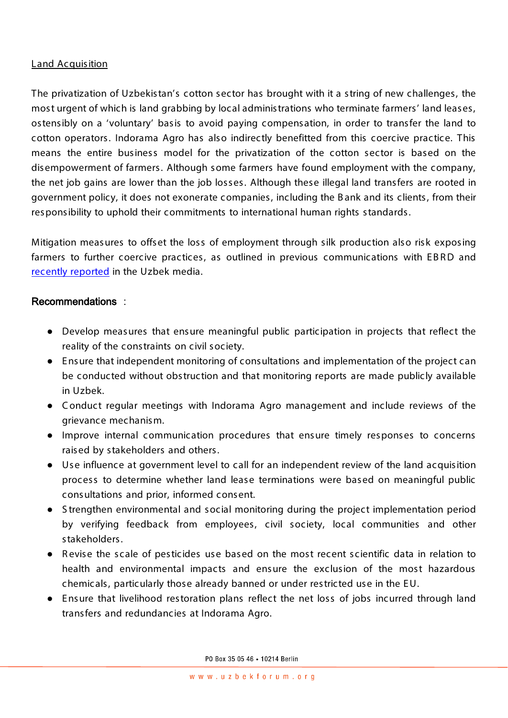### Land Acquisition

The privatization of Uzbekistan's cotton sector has brought with it a string of new challenges, the most urgent of which is land grabbing by local administrations who terminate farmers' land leases, ostensibly on a 'voluntary' basis to avoid paying compensation, in order to transfer the land to cotton operators. Indorama Agro has also indirectly benefitted from this coercive practice. This means the entire business model for the privatization of the cotton sector is based on the disempowerment of farmers. Although some farmers have found employment with the company, the net job gains are lower than the job losses. Although these illegal land transfers are rooted in government policy, it does not exonerate companies, including the B ank and its clients , from their responsibility to uphold their commitments to international human rights standards.

Mitigation measures to offset the loss of employment through silk production also risk exposing farmers to further coercive practices, as outlined in previous communications with EBRD and [recently reported](https://rus.ozodlik.org/a/31296289.html) in the Uzbek media.

### Recommendations :

- Develop measures that ensure meaningful public participation in projects that reflect the reality of the constraints on civil society.
- E nsure that independent monitoring of consultations and implementation of the project can be conducted without obstruction and that monitoring reports are made publicly available in Uzbek.
- C onduct regular meetings with Indorama Agro management and include reviews of the grievance mechanis m.
- Improve internal communication procedures that ens ure timely responses to concerns raised by stakeholders and others.
- Use influence at government level to call for an independent review of the land acquisition process to determine whether land lease terminations were based on meaningful public consultations and prior, informed consent.
- S trengthen environmental and social monitoring during the project implementation period by verifying feedback from employees, civil society, local communities and other stakeholders.
- Revise the scale of pesticides use based on the most recent scientific data in relation to health and environmental impacts and ensure the exclusion of the most hazardous chemicals, particularly those already banned or under restricted use in the E U.
- Ensure that livelihood restoration plans reflect the net loss of jobs incurred through land transfers and redundancies at Indorama Agro.

PO Box 35 05 46 . 10214 Berlin